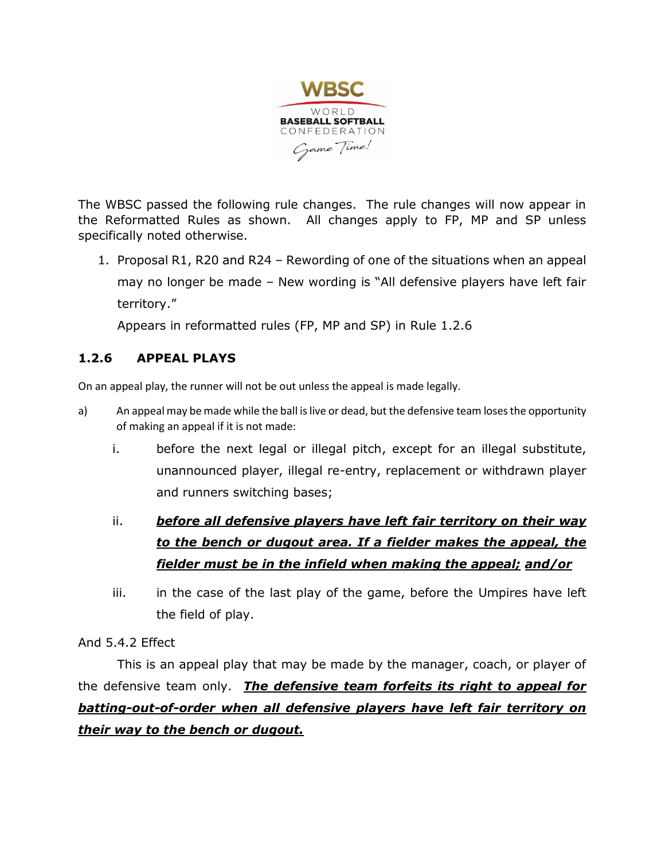

The WBSC passed the following rule changes. The rule changes will now appear in the Reformatted Rules as shown. All changes apply to FP, MP and SP unless specifically noted otherwise.

1. Proposal R1, R20 and R24 – Rewording of one of the situations when an appeal may no longer be made – New wording is "All defensive players have left fair territory."

Appears in reformatted rules (FP, MP and SP) in Rule 1.2.6

# **1.2.6 APPEAL PLAYS**

On an appeal play, the runner will not be out unless the appeal is made legally.

- a) An appeal may be made while the ball is live or dead, but the defensive team loses the opportunity of making an appeal if it is not made:
	- i. before the next legal or illegal pitch, except for an illegal substitute, unannounced player, illegal re-entry, replacement or withdrawn player and runners switching bases;

# ii. *before all defensive players have left fair territory on their way to the bench or dugout area. If a fielder makes the appeal, the fielder must be in the infield when making the appeal; and/or*

iii. in the case of the last play of the game, before the Umpires have left the field of play.

#### And 5.4.2 Effect

This is an appeal play that may be made by the manager, coach, or player of the defensive team only. *The defensive team forfeits its right to appeal for batting-out-of-order when all defensive players have left fair territory on their way to the bench or dugout.*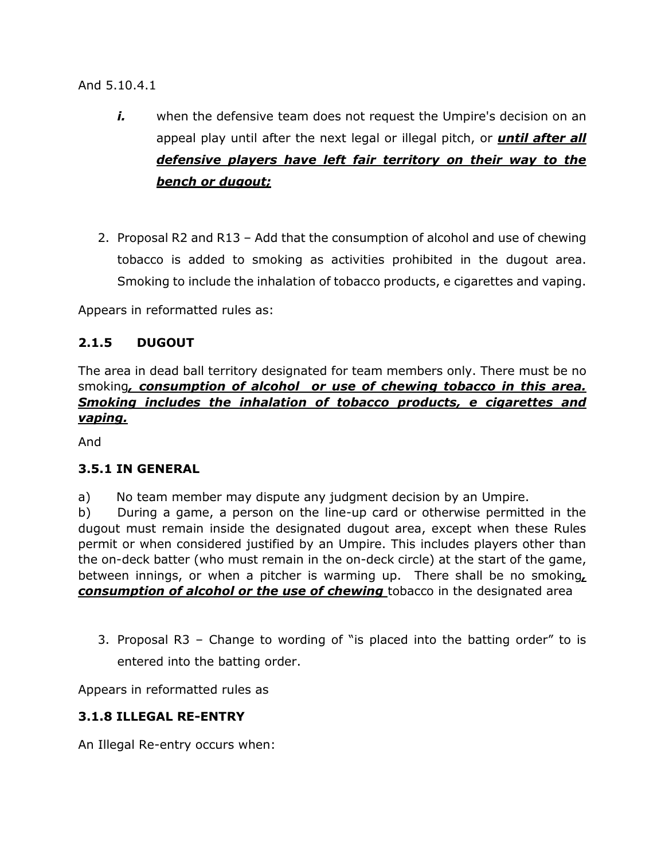And 5.10.4.1

- *i.* when the defensive team does not request the Umpire's decision on an appeal play until after the next legal or illegal pitch, or *until after all defensive players have left fair territory on their way to the bench or dugout;*
- 2. Proposal R2 and R13 Add that the consumption of alcohol and use of chewing tobacco is added to smoking as activities prohibited in the dugout area. Smoking to include the inhalation of tobacco products, e cigarettes and vaping.

Appears in reformatted rules as:

### **2.1.5 DUGOUT**

The area in dead ball territory designated for team members only. There must be no smoking*, consumption of alcohol or use of chewing tobacco in this area. Smoking includes the inhalation of tobacco products, e cigarettes and vaping.*

And

### **3.5.1 IN GENERAL**

a) No team member may dispute any judgment decision by an Umpire.

b) During a game, a person on the line-up card or otherwise permitted in the dugout must remain inside the designated dugout area, except when these Rules permit or when considered justified by an Umpire. This includes players other than the on-deck batter (who must remain in the on-deck circle) at the start of the game, between innings, or when a pitcher is warming up. There shall be no smoking*, consumption of alcohol or the use of chewing* tobacco in the designated area

3. Proposal R3 – Change to wording of "is placed into the batting order" to is entered into the batting order.

Appears in reformatted rules as

### **3.1.8 ILLEGAL RE-ENTRY**

An Illegal Re-entry occurs when: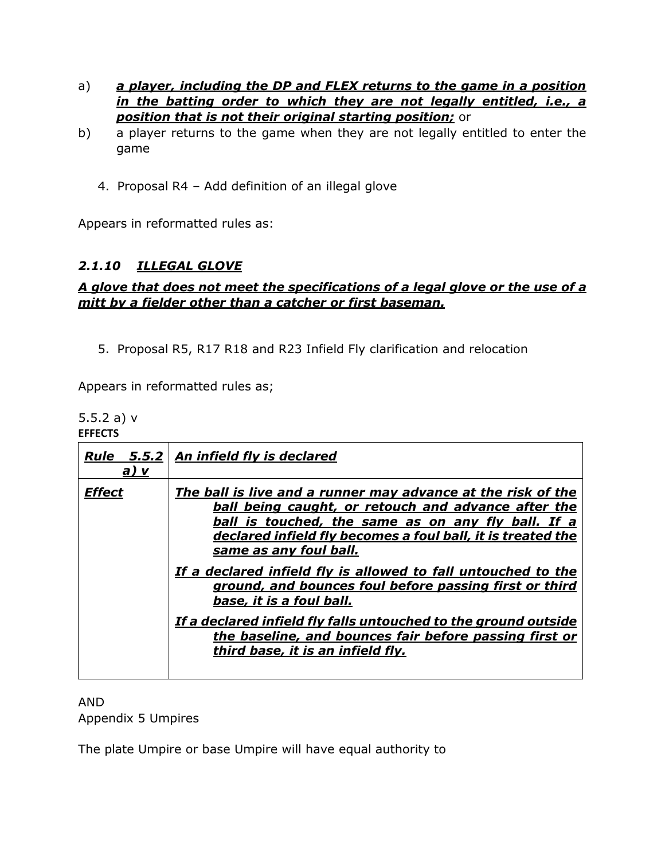- a) *a player, including the DP and FLEX returns to the game in a position in the batting order to which they are not legally entitled, i.e., a position that is not their original starting position;* or
- b) a player returns to the game when they are not legally entitled to enter the game
	- 4. Proposal R4 Add definition of an illegal glove

Appears in reformatted rules as:

# *2.1.10 ILLEGAL GLOVE*

### *A glove that does not meet the specifications of a legal glove or the use of a mitt by a fielder other than a catcher or first baseman.*

5. Proposal R5, R17 R18 and R23 Infield Fly clarification and relocation

Appears in reformatted rules as;

5.5.2 a) v

| 5.5.2   An infield fly is declared<br>Rule<br><u>a) v</u><br><b>Effect</b><br>The ball is live and a runner may advance at the risk of the<br><b>ball being caught, or retouch and advance after the</b><br>ball is touched, the same as on any fly ball. If a<br>declared infield fly becomes a foul ball, it is treated the<br>same as any foul ball.<br>If a declared infield fly is allowed to fall untouched to the<br>ground, and bounces foul before passing first or third<br>base, it is a foul ball.<br>If a declared infield fly falls untouched to the ground outside<br>the baseline, and bounces fair before passing first or<br>third base, it is an infield fly. | <b>EFFECTS</b> |  |  |
|----------------------------------------------------------------------------------------------------------------------------------------------------------------------------------------------------------------------------------------------------------------------------------------------------------------------------------------------------------------------------------------------------------------------------------------------------------------------------------------------------------------------------------------------------------------------------------------------------------------------------------------------------------------------------------|----------------|--|--|
|                                                                                                                                                                                                                                                                                                                                                                                                                                                                                                                                                                                                                                                                                  |                |  |  |
|                                                                                                                                                                                                                                                                                                                                                                                                                                                                                                                                                                                                                                                                                  |                |  |  |

#### AND Appendix 5 Umpires

The plate Umpire or base Umpire will have equal authority to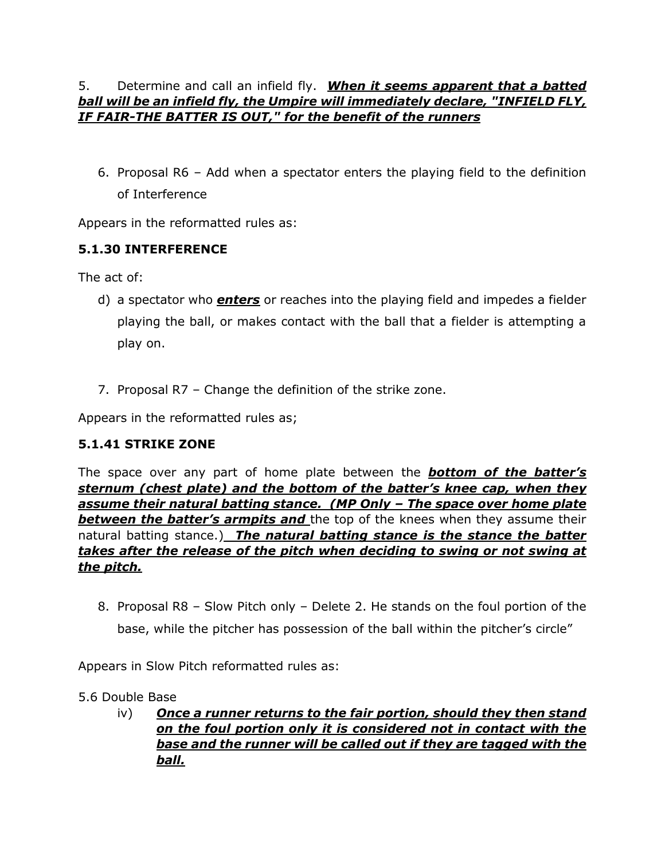### 5. Determine and call an infield fly. *When it seems apparent that a batted ball will be an infield fly, the Umpire will immediately declare, "INFIELD FLY, IF FAIR-THE BATTER IS OUT," for the benefit of the runners*

6. Proposal R6 – Add when a spectator enters the playing field to the definition of Interference

Appears in the reformatted rules as:

# **5.1.30 INTERFERENCE**

The act of:

- d) a spectator who *enters* or reaches into the playing field and impedes a fielder playing the ball, or makes contact with the ball that a fielder is attempting a play on.
- 7. Proposal R7 Change the definition of the strike zone.

Appears in the reformatted rules as;

### **5.1.41 STRIKE ZONE**

The space over any part of home plate between the *bottom of the batter's sternum (chest plate) and the bottom of the batter's knee cap, when they assume their natural batting stance. (MP Only – The space over home plate*  **between the batter's armpits and** the top of the knees when they assume their natural batting stance.) *The natural batting stance is the stance the batter takes after the release of the pitch when deciding to swing or not swing at the pitch.*

8. Proposal R8 – Slow Pitch only – Delete 2. He stands on the foul portion of the base, while the pitcher has possession of the ball within the pitcher's circle"

Appears in Slow Pitch reformatted rules as:

- 5.6 Double Base
	- iv) *Once a runner returns to the fair portion, should they then stand on the foul portion only it is considered not in contact with the base and the runner will be called out if they are tagged with the ball.*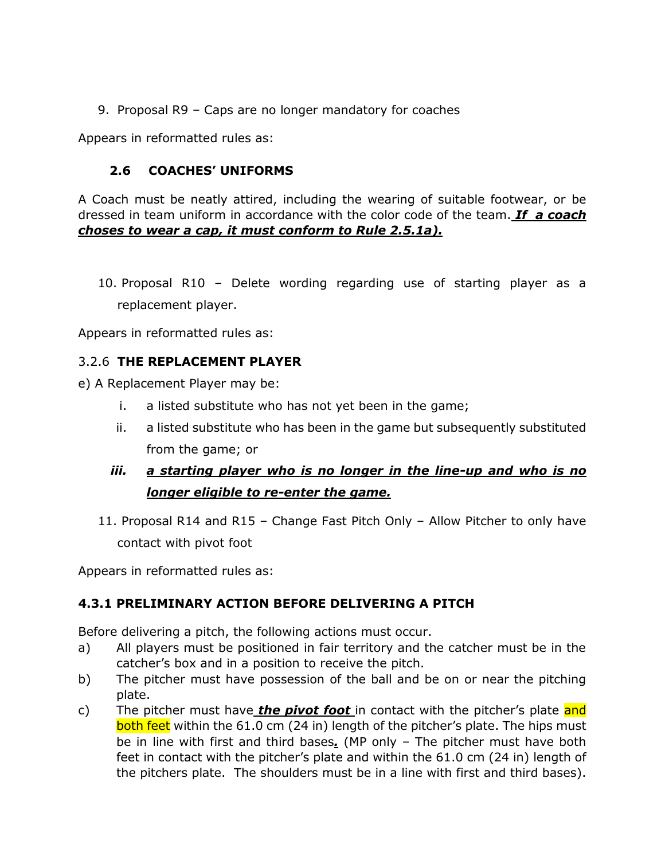9. Proposal R9 – Caps are no longer mandatory for coaches

Appears in reformatted rules as:

### **2.6 COACHES' UNIFORMS**

A Coach must be neatly attired, including the wearing of suitable footwear, or be dressed in team uniform in accordance with the color code of the team. *If a coach choses to wear a cap, it must conform to Rule 2.5.1a).* 

10. Proposal R10 – Delete wording regarding use of starting player as a replacement player.

Appears in reformatted rules as:

### 3.2.6 **THE REPLACEMENT PLAYER**

e) A Replacement Player may be:

- i. a listed substitute who has not yet been in the game;
- ii. a listed substitute who has been in the game but subsequently substituted from the game; or

# *iii. a starting player who is no longer in the line-up and who is no longer eligible to re-enter the game.*

11. Proposal R14 and R15 – Change Fast Pitch Only – Allow Pitcher to only have contact with pivot foot

Appears in reformatted rules as:

#### **4.3.1 PRELIMINARY ACTION BEFORE DELIVERING A PITCH**

Before delivering a pitch, the following actions must occur.

- a) All players must be positioned in fair territory and the catcher must be in the catcher's box and in a position to receive the pitch.
- b) The pitcher must have possession of the ball and be on or near the pitching plate.
- c) The pitcher must have *the pivot foot* in contact with the pitcher's plate and both feet within the 61.0 cm (24 in) length of the pitcher's plate. The hips must be in line with first and third bases*.* (MP only – The pitcher must have both feet in contact with the pitcher's plate and within the 61.0 cm (24 in) length of the pitchers plate. The shoulders must be in a line with first and third bases).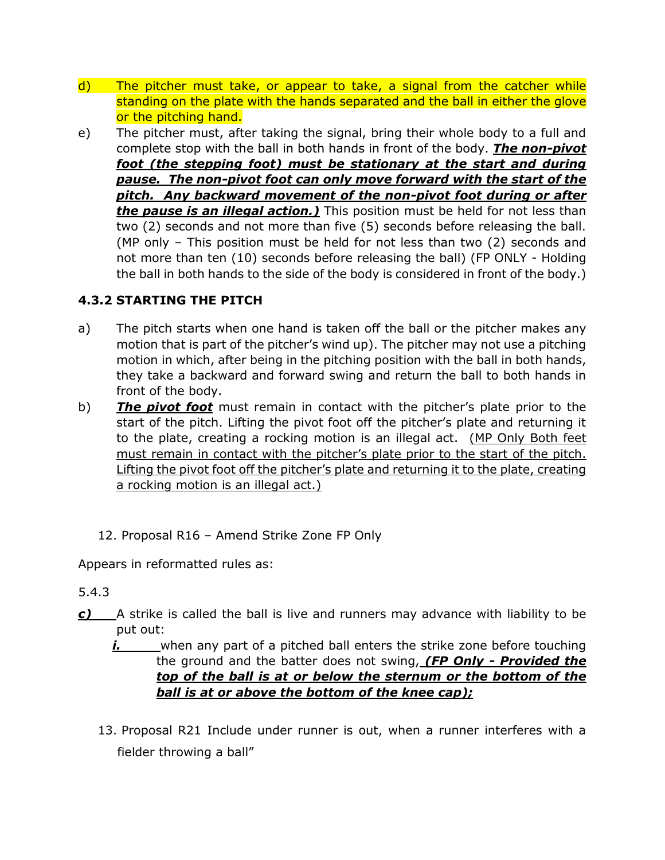- d) The pitcher must take, or appear to take, a signal from the catcher while standing on the plate with the hands separated and the ball in either the glove or the pitching hand.
- e) The pitcher must, after taking the signal, bring their whole body to a full and complete stop with the ball in both hands in front of the body. *The non-pivot foot (the stepping foot) must be stationary at the start and during pause. The non-pivot foot can only move forward with the start of the pitch. Any backward movement of the non-pivot foot during or after the pause is an illegal action.)* This position must be held for not less than two (2) seconds and not more than five (5) seconds before releasing the ball. (MP only – This position must be held for not less than two (2) seconds and not more than ten (10) seconds before releasing the ball) (FP ONLY - Holding the ball in both hands to the side of the body is considered in front of the body.)

# **4.3.2 STARTING THE PITCH**

- a) The pitch starts when one hand is taken off the ball or the pitcher makes any motion that is part of the pitcher's wind up). The pitcher may not use a pitching motion in which, after being in the pitching position with the ball in both hands, they take a backward and forward swing and return the ball to both hands in front of the body.
- b) *The pivot foot* must remain in contact with the pitcher's plate prior to the start of the pitch. Lifting the pivot foot off the pitcher's plate and returning it to the plate, creating a rocking motion is an illegal act. (MP Only Both feet must remain in contact with the pitcher's plate prior to the start of the pitch. Lifting the pivot foot off the pitcher's plate and returning it to the plate, creating a rocking motion is an illegal act.)
	- 12. Proposal R16 Amend Strike Zone FP Only

Appears in reformatted rules as:

#### 5.4.3

- *c)* A strike is called the ball is live and runners may advance with liability to be put out:
	- *i.* when any part of a pitched ball enters the strike zone before touching the ground and the batter does not swing, *(FP Only - Provided the top of the ball is at or below the sternum or the bottom of the ball is at or above the bottom of the knee cap);*
	- 13. Proposal R21 Include under runner is out, when a runner interferes with a fielder throwing a ball"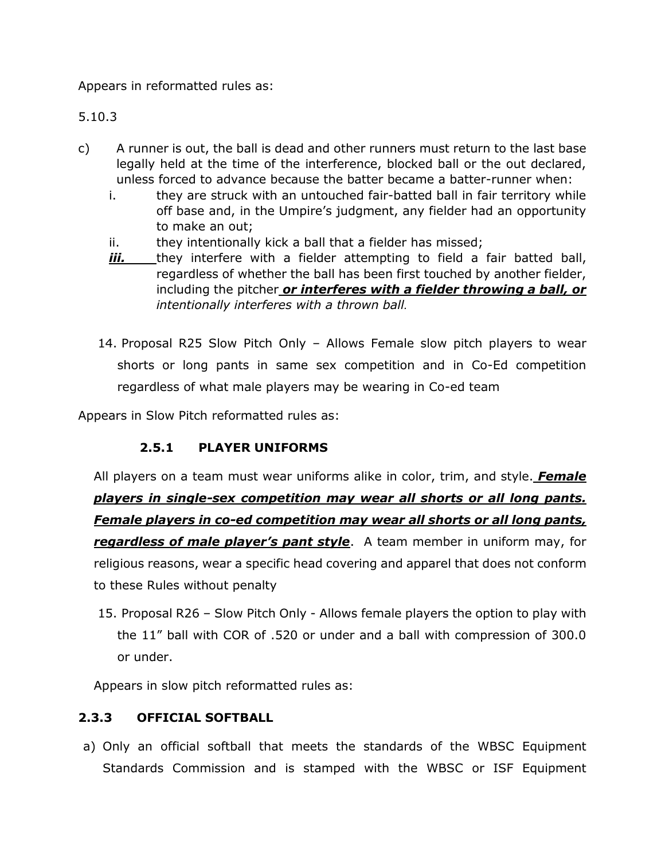Appears in reformatted rules as:

5.10.3

- c) A runner is out, the ball is dead and other runners must return to the last base legally held at the time of the interference, blocked ball or the out declared, unless forced to advance because the batter became a batter-runner when:
	- i. they are struck with an untouched fair-batted ball in fair territory while off base and, in the Umpire's judgment, any fielder had an opportunity to make an out;
	- ii. they intentionally kick a ball that a fielder has missed;
	- *iii.* they interfere with a fielder attempting to field a fair batted ball, regardless of whether the ball has been first touched by another fielder, including the pitcher *or interferes with a fielder throwing a ball, or intentionally interferes with a thrown ball.*
	- 14. Proposal R25 Slow Pitch Only Allows Female slow pitch players to wear shorts or long pants in same sex competition and in Co-Ed competition regardless of what male players may be wearing in Co-ed team

Appears in Slow Pitch reformatted rules as:

### **2.5.1 PLAYER UNIFORMS**

All players on a team must wear uniforms alike in color, trim, and style. *Female players in single-sex competition may wear all shorts or all long pants. Female players in co-ed competition may wear all shorts or all long pants, regardless of male player's pant style*. A team member in uniform may, for religious reasons, wear a specific head covering and apparel that does not conform to these Rules without penalty

15. Proposal R26 – Slow Pitch Only - Allows female players the option to play with the 11" ball with COR of .520 or under and a ball with compression of 300.0 or under.

Appears in slow pitch reformatted rules as:

### **2.3.3 OFFICIAL SOFTBALL**

a) Only an official softball that meets the standards of the WBSC Equipment Standards Commission and is stamped with the WBSC or ISF Equipment